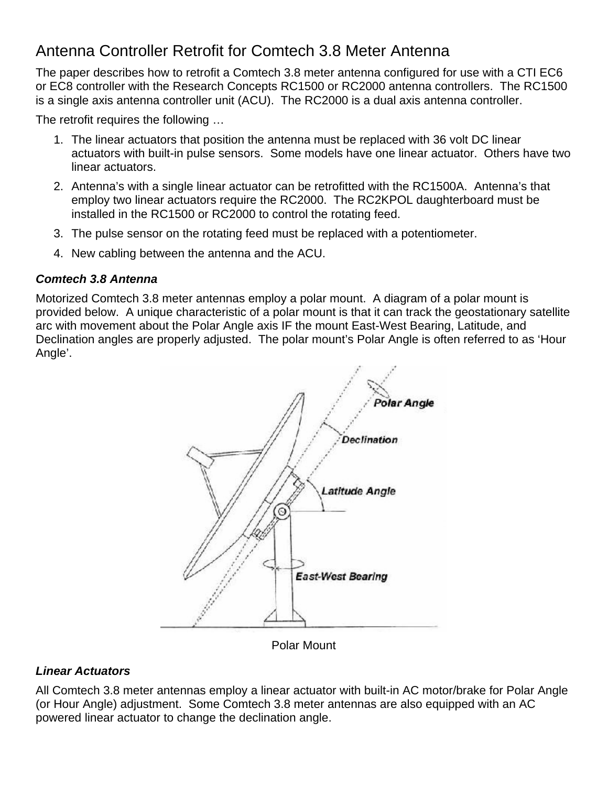# Antenna Controller Retrofit for Comtech 3.8 Meter Antenna

The paper describes how to retrofit a Comtech 3.8 meter antenna configured for use with a CTI EC6 or EC8 controller with the Research Concepts RC1500 or RC2000 antenna controllers. The RC1500 is a single axis antenna controller unit (ACU). The RC2000 is a dual axis antenna controller.

The retrofit requires the following …

- 1. The linear actuators that position the antenna must be replaced with 36 volt DC linear actuators with built-in pulse sensors. Some models have one linear actuator. Others have two linear actuators.
- 2. Antenna's with a single linear actuator can be retrofitted with the RC1500A. Antenna's that employ two linear actuators require the RC2000. The RC2KPOL daughterboard must be installed in the RC1500 or RC2000 to control the rotating feed.
- 3. The pulse sensor on the rotating feed must be replaced with a potentiometer.
- 4. New cabling between the antenna and the ACU.

#### *Comtech 3.8 Antenna*

Motorized Comtech 3.8 meter antennas employ a polar mount. A diagram of a polar mount is provided below. A unique characteristic of a polar mount is that it can track the geostationary satellite arc with movement about the Polar Angle axis IF the mount East-West Bearing, Latitude, and Declination angles are properly adjusted. The polar mount's Polar Angle is often referred to as 'Hour Angle'.



Polar Mount

## *Linear Actuators*

All Comtech 3.8 meter antennas employ a linear actuator with built-in AC motor/brake for Polar Angle (or Hour Angle) adjustment. Some Comtech 3.8 meter antennas are also equipped with an AC powered linear actuator to change the declination angle.